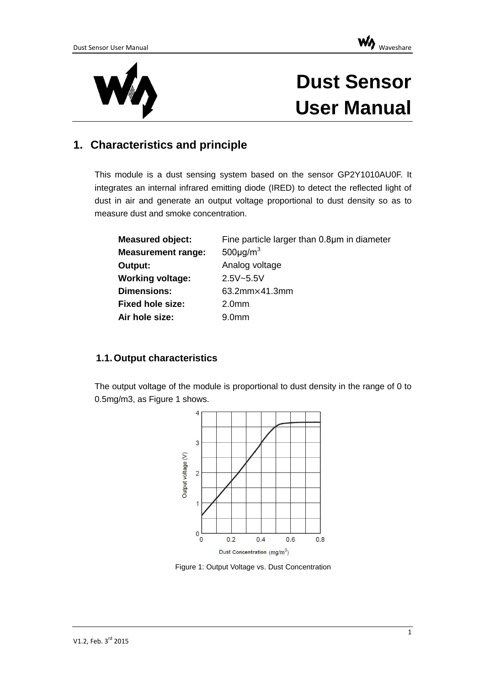



# **Dust Sensor User Manual**

# **1. Characteristics and principle**

This module is a dust sensing system based on the sensor GP2Y1010AU0F. It integrates an internal infrared emitting diode (IRED) to detect the reflected light of dust in air and generate an output voltage proportional to dust density so as to measure dust and smoke concentration.

| <b>Measured object:</b>   | Fine particle larger than 0.8µm in diameter |
|---------------------------|---------------------------------------------|
| <b>Measurement range:</b> | $500 \mu g/m^3$                             |
| Output:                   | Analog voltage                              |
| <b>Working voltage:</b>   | $2.5V - 5.5V$                               |
| <b>Dimensions:</b>        | 63.2mm×41.3mm                               |
| <b>Fixed hole size:</b>   | 2.0 <sub>mm</sub>                           |
| Air hole size:            | 9.0 <sub>mm</sub>                           |

#### **1.1.Output characteristics**

The output voltage of the module is proportional to dust density in the range of 0 to 0.5mg/m3, as [Figure 1](#page-0-0) shows.



<span id="page-0-0"></span>Figure 1: Output Voltage vs. Dust Concentration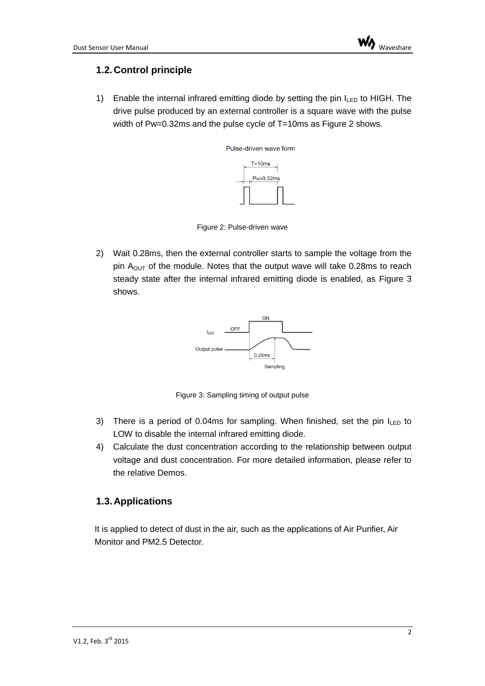## **1.2.Control principle**

1) Enable the internal infrared emitting diode by setting the pin  $I_{LED}$  to HIGH. The drive pulse produced by an external controller is a square wave with the pulse width of Pw=0.32ms and the pulse cycle of T=10ms as [Figure 2](#page-1-0) shows.



Figure 2: Pulse-driven wave

<span id="page-1-0"></span>2) Wait 0.28ms, then the external controller starts to sample the voltage from the pin  $A<sub>OUT</sub>$  of the module. Notes that the output wave will take 0.28ms to reach steady state after the internal infrared emitting diode is enabled, as [Figure 3](#page-1-1) shows.



Figure 3: Sampling timing of output pulse

- <span id="page-1-1"></span>3) There is a period of 0.04ms for sampling. When finished, set the pin  $I_{LED}$  to LOW to disable the internal infrared emitting diode.
- 4) Calculate the dust concentration according to the relationship between output voltage and dust concentration. For more detailed information, please refer to the relative Demos.

#### **1.3.Applications**

It is applied to detect of dust in the air, such as the applications of Air Purifier, Air Monitor and PM2.5 Detector.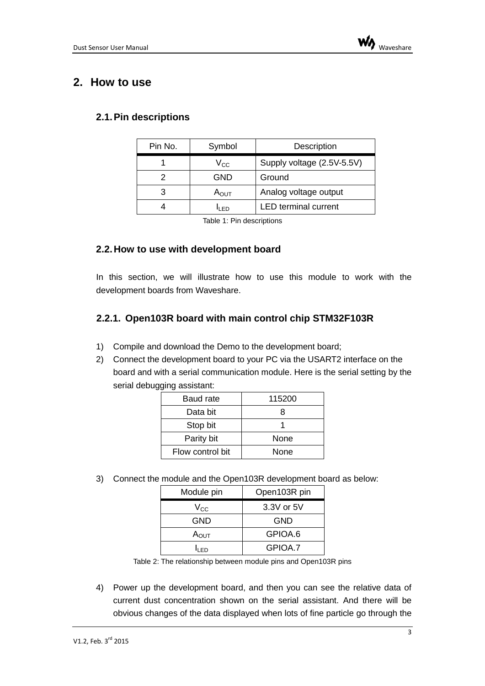# **2. How to use**

#### **2.1.Pin descriptions**

| Pin No. | Symbol        | Description                 |
|---------|---------------|-----------------------------|
|         | $\rm V_{CC}$  | Supply voltage (2.5V-5.5V)  |
|         | GND           | Ground                      |
| 3       | $A_{\rm OUT}$ | Analog voltage output       |
|         | lı FD         | <b>LED</b> terminal current |

Table 1: Pin descriptions

#### **2.2.How to use with development board**

In this section, we will illustrate how to use this module to work with the development boards from Waveshare.

#### **2.2.1. Open103R board with main control chip STM32F103R**

- 1) Compile and download the Demo to the development board;
- 2) Connect the development board to your PC via the USART2 interface on the board and with a serial communication module. Here is the serial setting by the serial debugging assistant:

| Baud rate        | 115200 |
|------------------|--------|
| Data bit         | R      |
| Stop bit         |        |
| Parity bit       | None   |
| Flow control bit | None   |

3) Connect the module and the Open103R development board as below:

| Module pin       | Open103R pin |
|------------------|--------------|
| $\rm V_{CC}$     | 3.3V or 5V   |
| GND              | <b>GND</b>   |
| Α <sub>ουτ</sub> | GPIOA.6      |
| ח ו              | GPIOA 7      |

Table 2: The relationship between module pins and Open103R pins

4) Power up the development board, and then you can see the relative data of current dust concentration shown on the serial assistant. And there will be obvious changes of the data displayed when lots of fine particle go through the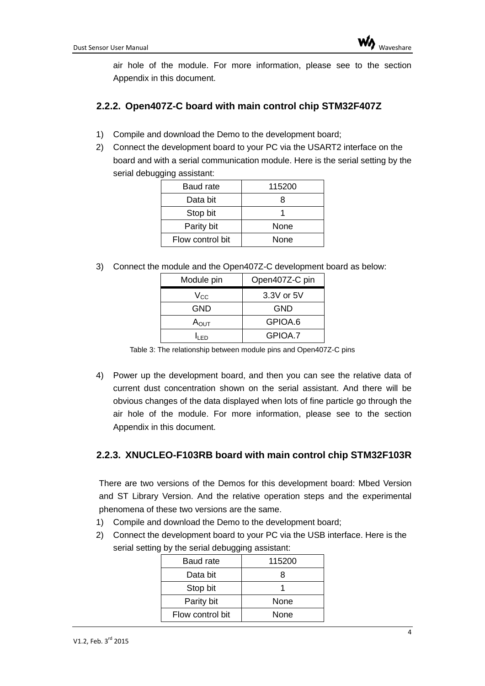air hole of the module. For more information, please see to the section Appendix in this document.

### **2.2.2. Open407Z-C board with main control chip STM32F407Z**

- 1) Compile and download the Demo to the development board;
- 2) Connect the development board to your PC via the USART2 interface on the board and with a serial communication module. Here is the serial setting by the serial debugging assistant:

| <b>Baud rate</b> | 115200 |
|------------------|--------|
| Data bit         | 8      |
| Stop bit         |        |
| Parity bit       | None   |
| Flow control bit | None   |

3) Connect the module and the Open407Z-C development board as below:

| Module pin       | Open407Z-C pin |
|------------------|----------------|
| $\rm V_{CC}$     | 3.3V or 5V     |
| GND              | <b>GND</b>     |
| $A_{\text{OUT}}$ | GPIOA.6        |
| n Fo             | GPIOA.7        |

Table 3: The relationship between module pins and Open407Z-C pins

4) Power up the development board, and then you can see the relative data of current dust concentration shown on the serial assistant. And there will be obvious changes of the data displayed when lots of fine particle go through the air hole of the module. For more information, please see to the section Appendix in this document.

## **2.2.3. XNUCLEO-F103RB board with main control chip STM32F103R**

There are two versions of the Demos for this development board: Mbed Version and ST Library Version. And the relative operation steps and the experimental phenomena of these two versions are the same.

- 1) Compile and download the Demo to the development board;
- 2) Connect the development board to your PC via the USB interface. Here is the serial setting by the serial debugging assistant:

| Baud rate        | 115200 |
|------------------|--------|
| Data bit         | 8      |
| Stop bit         |        |
| Parity bit       | None   |
| Flow control bit | None   |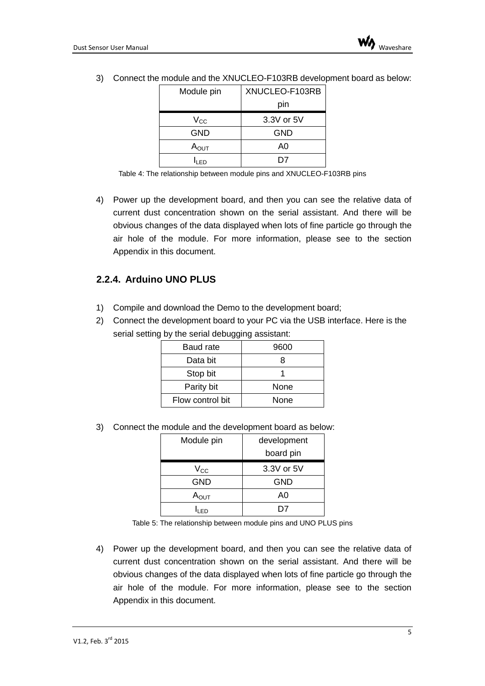| Module pin       | XNUCLEO-F103RB |  |
|------------------|----------------|--|
|                  | pin            |  |
| $\rm V_{CC}$     | 3.3V or 5V     |  |
| GND              | <b>GND</b>     |  |
| $A_{\text{OUT}}$ | A0             |  |
|                  |                |  |

3) Connect the module and the XNUCLEO-F103RB development board as below:

4) Power up the development board, and then you can see the relative data of current dust concentration shown on the serial assistant. And there will be obvious changes of the data displayed when lots of fine particle go through the air hole of the module. For more information, please see to the section Appendix in this document.

## **2.2.4. Arduino UNO PLUS**

- 1) Compile and download the Demo to the development board;
- 2) Connect the development board to your PC via the USB interface. Here is the serial setting by the serial debugging assistant:

| <b>Baud rate</b> | 9600 |
|------------------|------|
| Data bit         | x    |
| Stop bit         |      |
| Parity bit       | None |
| Flow control bit | None |

3) Connect the module and the development board as below:

| Module pin       | development |  |
|------------------|-------------|--|
|                  | board pin   |  |
| $V_{\rm CC}$     | 3.3V or 5V  |  |
| <b>GND</b>       | GND         |  |
| Α <sub>ουτ</sub> | A0          |  |
|                  |             |  |

Table 5: The relationship between module pins and UNO PLUS pins

4) Power up the development board, and then you can see the relative data of current dust concentration shown on the serial assistant. And there will be obvious changes of the data displayed when lots of fine particle go through the air hole of the module. For more information, please see to the section Appendix in this document.

Table 4: The relationship between module pins and XNUCLEO-F103RB pins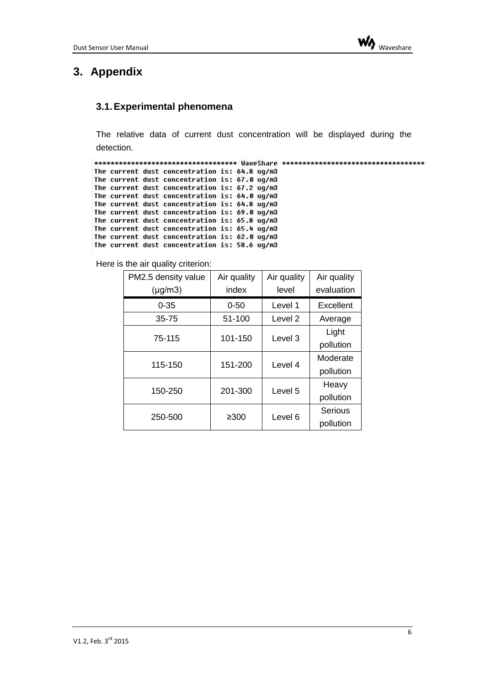

# **3. Appendix**

#### **3.1.Experimental phenomena**

The relative data of current dust concentration will be displayed during the detection.

```
The current dust concentration is: 64.8 ug/m3
The current dust concentration is: 67.0 ug/m3
The current dust concentration is: 67.2 ug/m3
The current dust concentration is: 64.0 ug/m3
The current dust concentration is: 64.8 ug/m3
The current dust concentration is: 69.0 ug/m3
The current dust concentration is: 65.8 ug/m3
The current dust concentration is: 65.4 ug/m3
The current dust concentration is: 62.0 ug/m3
The current dust concentration is: 58.6 ug/m3
```
Here is the air quality criterion:

| PM2.5 density value | Air quality | Air quality | Air quality           |
|---------------------|-------------|-------------|-----------------------|
| $(\mu g/m3)$        | index       | level       | evaluation            |
| $0 - 35$            | $0 - 50$    | Level 1     | Excellent             |
| $35 - 75$           | 51-100      | Level 2     | Average               |
| 75-115              | 101-150     | Level 3     | Light<br>pollution    |
| 115-150             | 151-200     | Level 4     | Moderate<br>pollution |
| 150-250             | 201-300     | Level 5     | Heavy<br>pollution    |
| 250-500             | $\geq 300$  | Level 6     | Serious<br>pollution  |